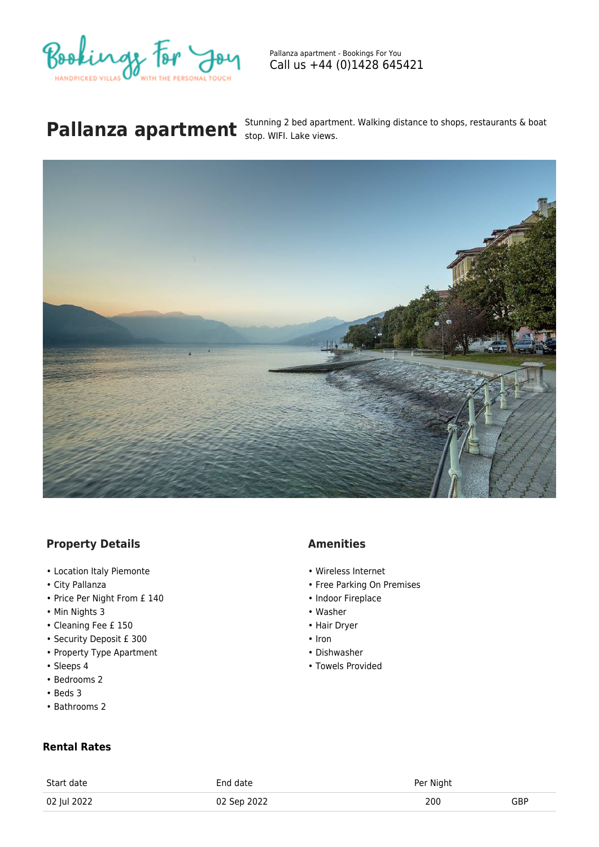

Pallanza apartment - Bookings For You Call us +44 (0)1428 645421

## **Pallanza apartment** Stunning 2 bed apartment. Walking distance to shops, restaurants & boat **Pallanza** apartment State views.



## **Property Details**

- Location Italy Piemonte
- City Pallanza
- Price Per Night From £ 140
- Min Nights 3
- Cleaning Fee £ 150
- Security Deposit £ 300
- Property Type Apartment
- Sleeps 4
- Bedrooms 2
- Beds 3
- Bathrooms 2

## **Rental Rates**

| <b>Amenities</b> |
|------------------|
|------------------|

- Wireless Internet
- Free Parking On Premises
- Indoor Fireplace
- Washer
- Hair Dryer
- Iron
- Dishwasher
- Towels Provided

| Start date  | End date    | Per Night |     |
|-------------|-------------|-----------|-----|
| 02 Jul 2022 | 02 Sep 2022 | 200       | GBP |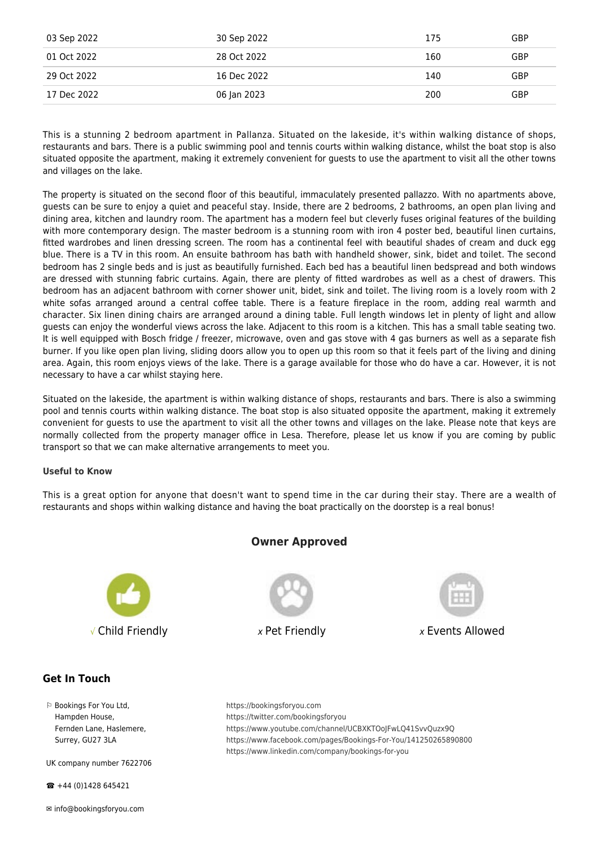| 03 Sep 2022 | 30 Sep 2022 | 175 | GBP |
|-------------|-------------|-----|-----|
| 01 Oct 2022 | 28 Oct 2022 | 160 | GBP |
| 29 Oct 2022 | 16 Dec 2022 | 140 | GBP |
| 17 Dec 2022 | 06 Jan 2023 | 200 | GBP |

This is a stunning 2 bedroom apartment in Pallanza. Situated on the lakeside, it's within walking distance of shops, restaurants and bars. There is a public swimming pool and tennis courts within walking distance, whilst the boat stop is also situated opposite the apartment, making it extremely convenient for guests to use the apartment to visit all the other towns and villages on the lake.

The property is situated on the second floor of this beautiful, immaculately presented pallazzo. With no apartments above, guests can be sure to enjoy a quiet and peaceful stay. Inside, there are 2 bedrooms, 2 bathrooms, an open plan living and dining area, kitchen and laundry room. The apartment has a modern feel but cleverly fuses original features of the building with more contemporary design. The master bedroom is a stunning room with iron 4 poster bed, beautiful linen curtains, fitted wardrobes and linen dressing screen. The room has a continental feel with beautiful shades of cream and duck egg blue. There is a TV in this room. An ensuite bathroom has bath with handheld shower, sink, bidet and toilet. The second bedroom has 2 single beds and is just as beautifully furnished. Each bed has a beautiful linen bedspread and both windows are dressed with stunning fabric curtains. Again, there are plenty of fitted wardrobes as well as a chest of drawers. This bedroom has an adjacent bathroom with corner shower unit, bidet, sink and toilet. The living room is a lovely room with 2 white sofas arranged around a central coffee table. There is a feature fireplace in the room, adding real warmth and character. Six linen dining chairs are arranged around a dining table. Full length windows let in plenty of light and allow guests can enjoy the wonderful views across the lake. Adjacent to this room is a kitchen. This has a small table seating two. It is well equipped with Bosch fridge / freezer, microwave, oven and gas stove with 4 gas burners as well as a separate fish burner. If you like open plan living, sliding doors allow you to open up this room so that it feels part of the living and dining area. Again, this room enjoys views of the lake. There is a garage available for those who do have a car. However, it is not necessary to have a car whilst staying here.

Situated on the lakeside, the apartment is within walking distance of shops, restaurants and bars. There is also a swimming pool and tennis courts within walking distance. The boat stop is also situated opposite the apartment, making it extremely convenient for guests to use the apartment to visit all the other towns and villages on the lake. Please note that keys are normally collected from the property manager office in Lesa. Therefore, please let us know if you are coming by public transport so that we can make alternative arrangements to meet you.

## **Useful to Know**

This is a great option for anyone that doesn't want to spend time in the car during their stay. There are a wealth of restaurants and shops within walking distance and having the boat practically on the doorstep is a real bonus!